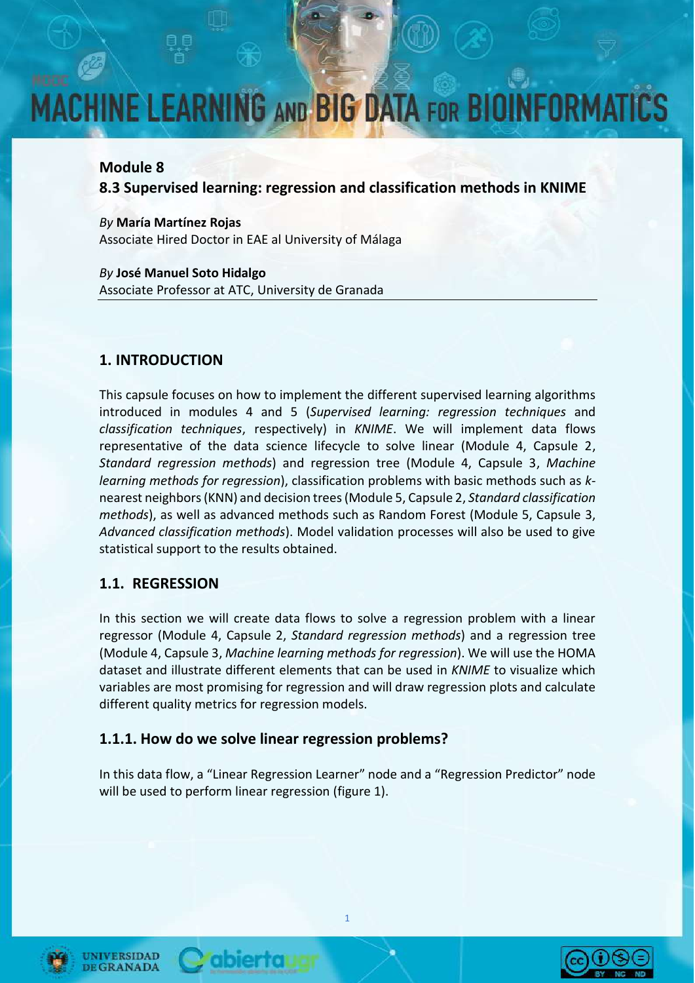#### **Module 8**

**8.3 Supervised learning: regression and classification methods in KNIME** 

*By* **María Martínez Rojas** Associate Hired Doctor in EAE al University of Málaga

*By* **José Manuel Soto Hidalgo** Associate Professor at ATC, University de Granada

#### **1. INTRODUCTION**

This capsule focuses on how to implement the different supervised learning algorithms introduced in modules 4 and 5 (*Supervised learning: regression techniques* and *classification techniques*, respectively) in *KNIME*. We will implement data flows representative of the data science lifecycle to solve linear (Module 4, Capsule 2, *Standard regression methods*) and regression tree (Module 4, Capsule 3, *Machine learning methods for regression*), classification problems with basic methods such as *k*nearest neighbors(KNN) and decision trees (Module 5, Capsule 2, *Standard classification methods*), as well as advanced methods such as Random Forest (Module 5, Capsule 3, *Advanced classification methods*). Model validation processes will also be used to give statistical support to the results obtained.

#### **1.1. REGRESSION**

In this section we will create data flows to solve a regression problem with a linear regressor (Module 4, Capsule 2, *Standard regression methods*) and a regression tree (Module 4, Capsule 3, *Machine learning methods for regression*). We will use the HOMA dataset and illustrate different elements that can be used in *KNIME* to visualize which variables are most promising for regression and will draw regression plots and calculate different quality metrics for regression models.

#### **1.1.1. How do we solve linear regression problems?**

abiertau

In this data flow, a "Linear Regression Learner" node and a "Regression Predictor" node will be used to perform linear regression (figure 1).





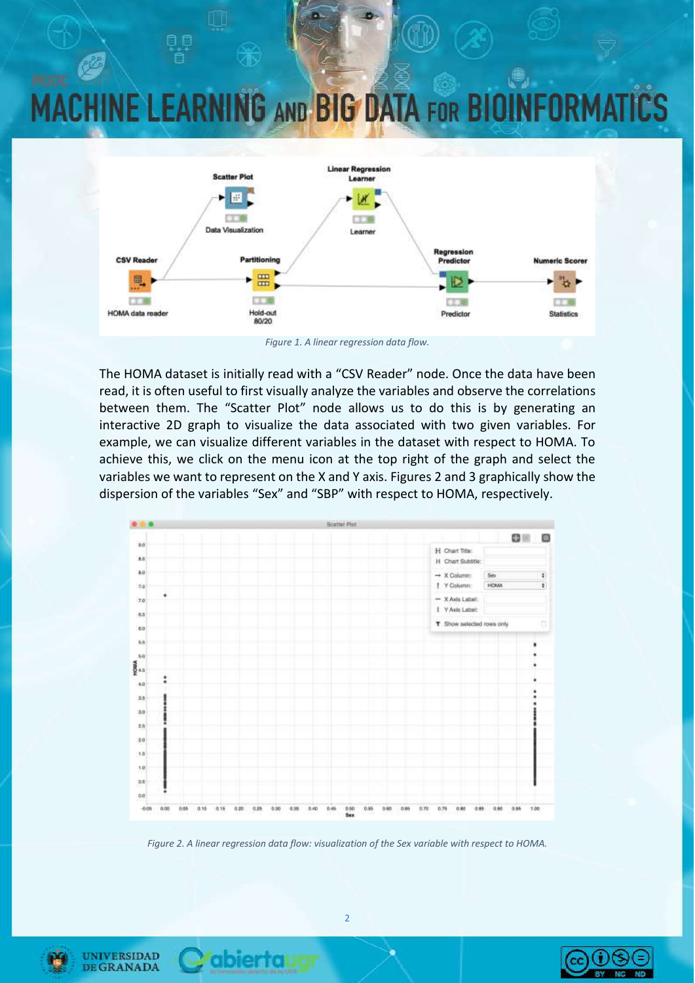

*Figure 1. A linear regression data flow.*

The HOMA dataset is initially read with a "CSV Reader" node. Once the data have been read, it is often useful to first visually analyze the variables and observe the correlations between them. The "Scatter Plot" node allows us to do this is by generating an interactive 2D graph to visualize the data associated with two given variables. For example, we can visualize different variables in the dataset with respect to HOMA. To achieve this, we click on the menu icon at the top right of the graph and select the variables we want to represent on the X and Y axis. Figures 2 and 3 graphically show the dispersion of the variables "Sex" and "SBP" with respect to HOMA, respectively.



*Figure 2. A linear regression data flow: visualization of the Sex variable with respect to HOMA.*



**UNIVERSIDAD DE GRANADA** 

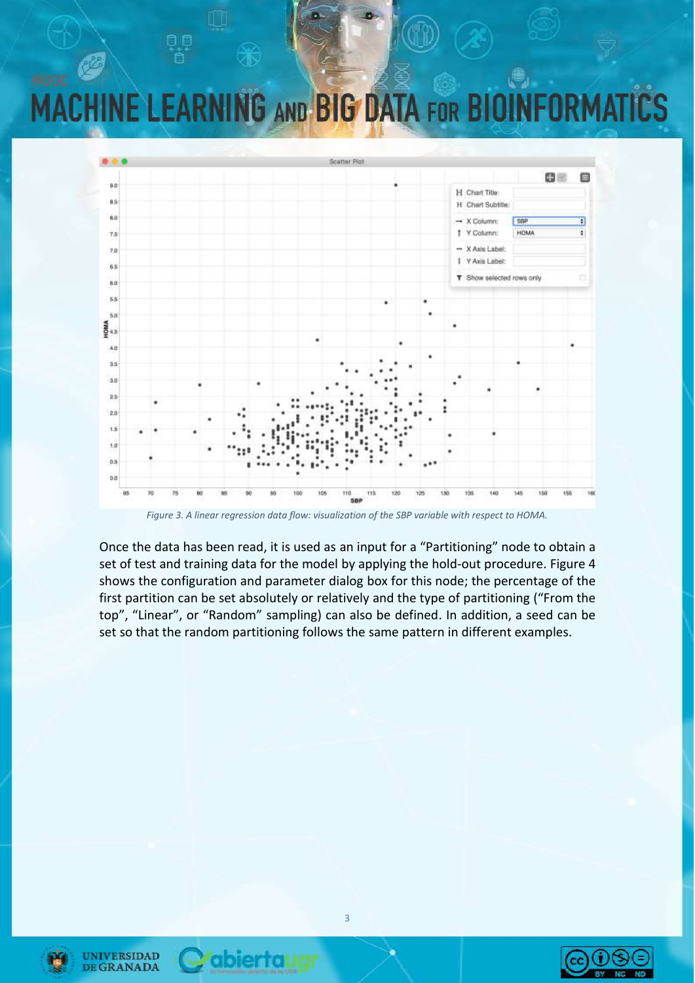

*Figure 3. A linear regression data flow: visualization of the SBP variable with respect to HOMA.*

Once the data has been read, it is used as an input for a "Partitioning" node to obtain a set of test and training data for the model by applying the hold-out procedure. Figure 4 shows the configuration and parameter dialog box for this node; the percentage of the first partition can be set absolutely or relatively and the type of partitioning ("From the top", "Linear", or "Random" sampling) can also be defined. In addition, a seed can be set so that the random partitioning follows the same pattern in different examples.





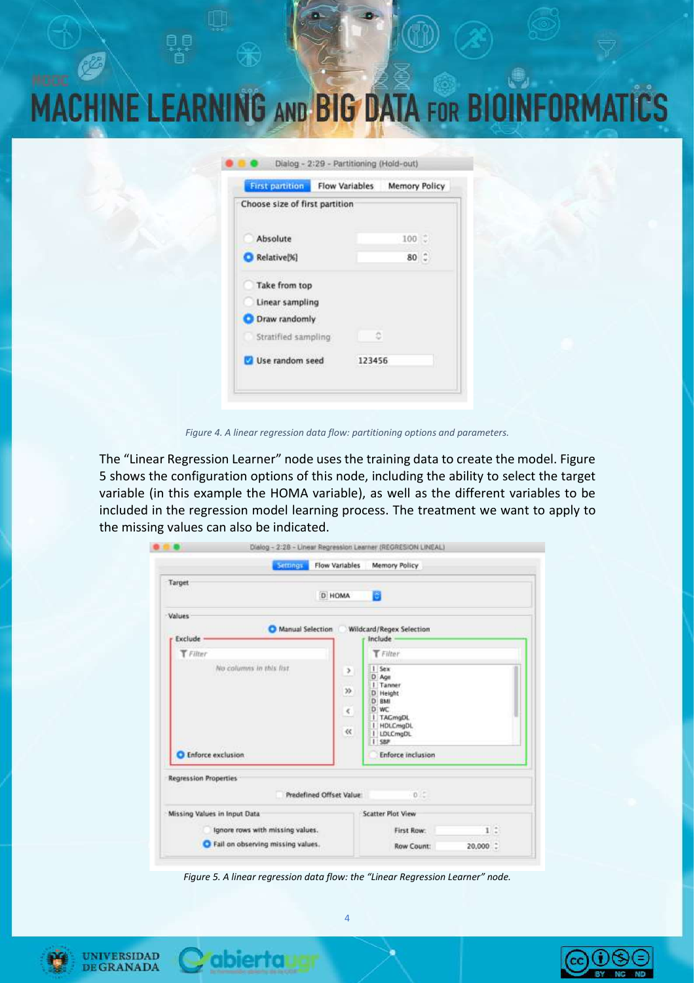| <b>MACHINE LEARNING AND BIG DATA FOR BIOINFORMATICS</b> |  |  |  |
|---------------------------------------------------------|--|--|--|

| <b>First partition</b>         | <b>Flow Variables</b> |        | Memory Policy |  |
|--------------------------------|-----------------------|--------|---------------|--|
| Choose size of first partition |                       |        |               |  |
| Absolute                       |                       |        | 100           |  |
| Relative[%]                    |                       |        | $80^\circ$    |  |
| Take from top                  |                       |        |               |  |
| Linear sampling                |                       |        |               |  |
| Draw randomly                  |                       |        |               |  |
| Stratified sampling            |                       | ō      |               |  |
| Use random seed                |                       | 123456 |               |  |

*Figure 4. A linear regression data flow: partitioning options and parameters.*

The "Linear Regression Learner" node uses the training data to create the model. Figure 5 shows the configuration options of this node, including the ability to select the target variable (in this example the HOMA variable), as well as the different variables to be included in the regression model learning process. The treatment we want to apply to the missing values can also be indicated.

|                                      |                             | Dialog - 2:28 - Linear Regression Learner (REGRESION LINEAL)                                              |          |
|--------------------------------------|-----------------------------|-----------------------------------------------------------------------------------------------------------|----------|
| Settings                             | <b>Flow Variables</b>       | Memory Policy                                                                                             |          |
| Target                               | D HOMA                      | в                                                                                                         |          |
| <b>Values</b>                        |                             |                                                                                                           |          |
| <b>Manual Selection</b><br>Exclude - |                             | Wildcard/Regex Selection<br>Include                                                                       |          |
| T Filter                             |                             | Filter                                                                                                    |          |
| No columns in this fist.             | ,<br>35.<br>€.<br>$\propto$ | 1 Sex<br>D Age<br>1 Tanner<br>D Height<br>D BMI<br>D WC<br>  TAGmgDL<br>I HDLCmgDL<br>I LDLCmgDL<br>I say |          |
| <b>Enforce exclusion</b>             |                             | <b>Enforce inclusion</b>                                                                                  |          |
| <b>Regression Properties</b>         | Predefined Offset Value:    | 0<                                                                                                        |          |
| Missing Values in Input Data         |                             | <b>Scatter Plot View</b>                                                                                  |          |
| Ignore rows with missing values.     |                             | First Row:                                                                                                | 1:       |
| Fail on observing missing values.    |                             | Row Count:                                                                                                | 20,000 : |

*Figure 5. A linear regression data flow: the "Linear Regression Learner" node.*





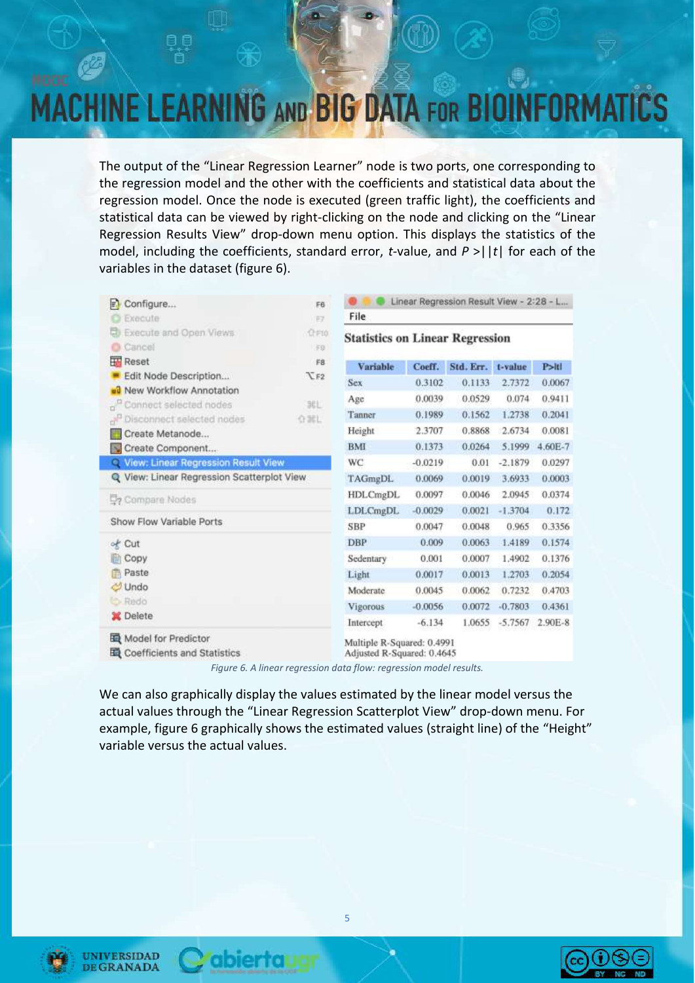The output of the "Linear Regression Learner" node is two ports, one corresponding to the regression model and the other with the coefficients and statistical data about the regression model. Once the node is executed (green traffic light), the coefficients and statistical data can be viewed by right-clicking on the node and clicking on the "Linear Regression Results View" drop-down menu option. This displays the statistics of the model, including the coefficients, standard error, *t*-value, and *P* >||*t*| for each of the variables in the dataset (figure 6).

| El Configure<br>Execute                                      | F6<br>EZ           | File                                                     |           | Linear Regression Result View - 2:28 - L |           |         |
|--------------------------------------------------------------|--------------------|----------------------------------------------------------|-----------|------------------------------------------|-----------|---------|
| Execute and Open Views<br>Cancel <sup>1</sup><br>۰           | <b>CF10</b><br>IF9 | <b>Statistics on Linear Regression</b>                   |           |                                          |           |         |
| <b>Reset</b>                                                 | F8                 | Variable                                                 | Coeff.    | Std. Err.                                | t-value   | P>11    |
| Edit Node Description                                        | TF2                | <b>Sex</b>                                               | 0.3102    | 0.1133                                   | 2.7372    | 0.0067  |
| ou New Workflow Annotation                                   | 地                  | Age                                                      | 0.0039    | 0.0529                                   | 0.074     | 0.9411  |
| Connect selected nodes<br>Disconnect selected nodes<br>اللهم | 价加工                | Tanner                                                   | 0.1989    | 0.1562                                   | 1.2738    | 0.2041  |
| Create Metanode                                              |                    | Height                                                   | 2.3707    | 0.8868                                   | 2.6734    | 0.0081  |
| Create Component                                             |                    | <b>BMI</b>                                               | 0.1373    | 0.0264                                   | 5.1999    | 4.60E-7 |
| View: Linear Regression Result View                          |                    | WC                                                       | $-0.0219$ | 0.01                                     | $-2.1879$ | 0.0297  |
| Q View: Linear Regression Scatterplot View                   |                    | TAGmgDL                                                  | 0.0069    | 0.0019                                   | 3.6933    | 0.0003  |
| Compare Nodes                                                |                    | <b>HDLCmgDL</b>                                          | 0.0097    | 0.0046                                   | 2.0945    | 0.0374  |
|                                                              |                    | LDLCmgDL                                                 | $-0.0029$ | 0.0021                                   | $-1.3704$ | 0.172   |
| Show Flow Variable Ports                                     |                    | <b>SBP</b>                                               | 0.0047    | 0.0048                                   | 0.965     | 0.3356  |
| of Cut                                                       |                    | <b>DBP</b>                                               | 0.009     | 0.0063                                   | 1.4189    | 0.1574  |
| Copy                                                         |                    | Sedentary                                                | 0.001     | 0.0007                                   | 1.4902    | 0.1376  |
| Paste                                                        |                    | Light                                                    | 0.0017    | 0.0013                                   | 1.2703    | 0.2054  |
| Undo                                                         |                    | Moderate                                                 | 0.0045    | 0.0062                                   | 0.7232    | 0.4703  |
| <b>b</b> Redo                                                |                    | Vigorous                                                 | $-0.0056$ | 0.0072                                   | $-0.7803$ | 0.4361  |
| <b>X</b> Delete                                              |                    | Intercept                                                | $-6.134$  | 1.0655                                   | $-5.7567$ | 2.90E-8 |
| Model for Predictor<br>Coefficients and Statistics           |                    | Multiple R-Squared: 0.4991<br>Adjusted R-Squared: 0.4645 |           |                                          |           |         |

*Figure 6. A linear regression data flow: regression model results.*

We can also graphically display the values estimated by the linear model versus the actual values through the "Linear Regression Scatterplot View" drop-down menu. For example, figure 6 graphically shows the estimated values (straight line) of the "Height" variable versus the actual values.





abiertal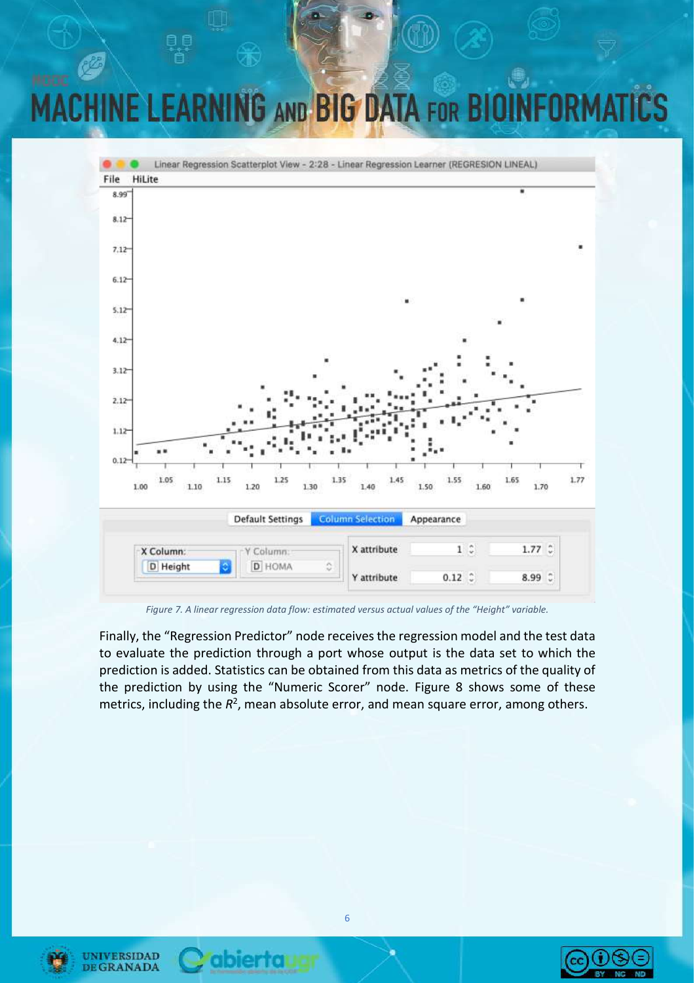### **G AND BIG DATA FOR BIO** NF I FA **END**



*Figure 7. A linear regression data flow: estimated versus actual values of the "Height" variable.*

Finally, the "Regression Predictor" node receives the regression model and the test data to evaluate the prediction through a port whose output is the data set to which the prediction is added. Statistics can be obtained from this data as metrics of the quality of the prediction by using the "Numeric Scorer" node. Figure 8 shows some of these metrics, including the  $R^2$ , mean absolute error, and mean square error, among others.





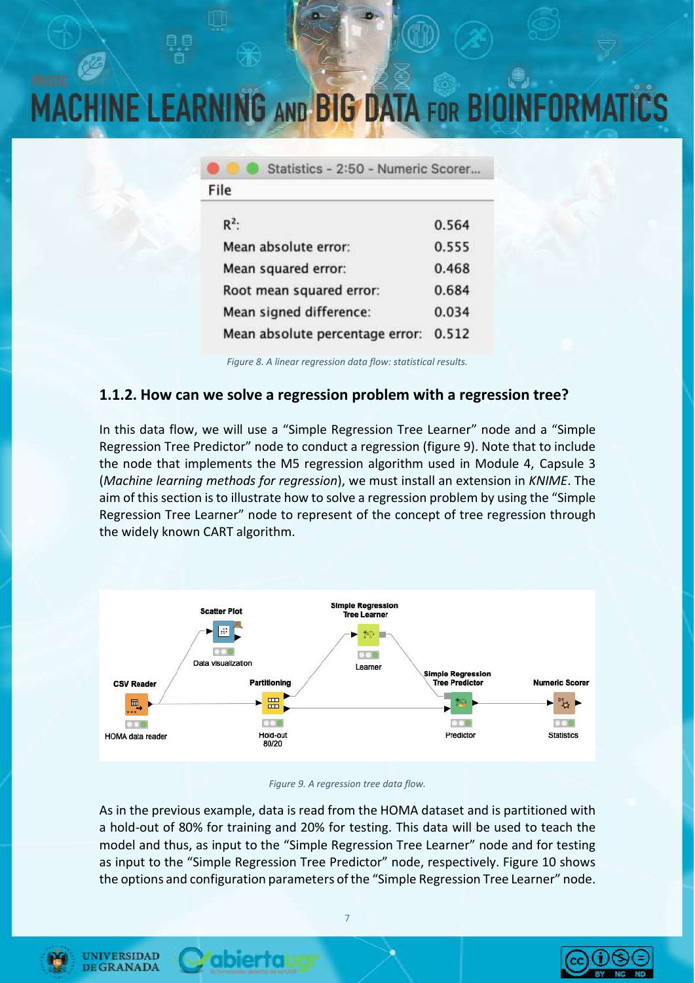| Statistics - 2:50 - Numeric Scorer |       |
|------------------------------------|-------|
| File                               |       |
| $R^2$ :                            | 0.564 |
| Mean absolute error:               | 0.555 |
| Mean squared error:                | 0.468 |
| Root mean squared error:           | 0.684 |
| Mean signed difference:            | 0.034 |
| Mean absolute percentage error:    | 0.512 |
|                                    |       |

*Figure 8. A linear regression data flow: statistical results.*

#### **1.1.2. How can we solve a regression problem with a regression tree?**

In this data flow, we will use a "Simple Regression Tree Learner" node and a "Simple Regression Tree Predictor" node to conduct a regression (figure 9). Note that to include the node that implements the M5 regression algorithm used in Module 4, Capsule 3 (*Machine learning methods for regression*), we must install an extension in *KNIME*. The aim of this section is to illustrate how to solve a regression problem by using the "Simple Regression Tree Learner" node to represent of the concept of tree regression through the widely known CART algorithm.



#### *Figure 9. A regression tree data flow.*

As in the previous example, data is read from the HOMA dataset and is partitioned with a hold-out of 80% for training and 20% for testing. This data will be used to teach the model and thus, as input to the "Simple Regression Tree Learner" node and for testing as input to the "Simple Regression Tree Predictor" node, respectively. Figure 10 shows the options and configuration parameters of the "Simple Regression Tree Learner" node.



**UNIVERSIDAD** 

**DE GRANADA** 

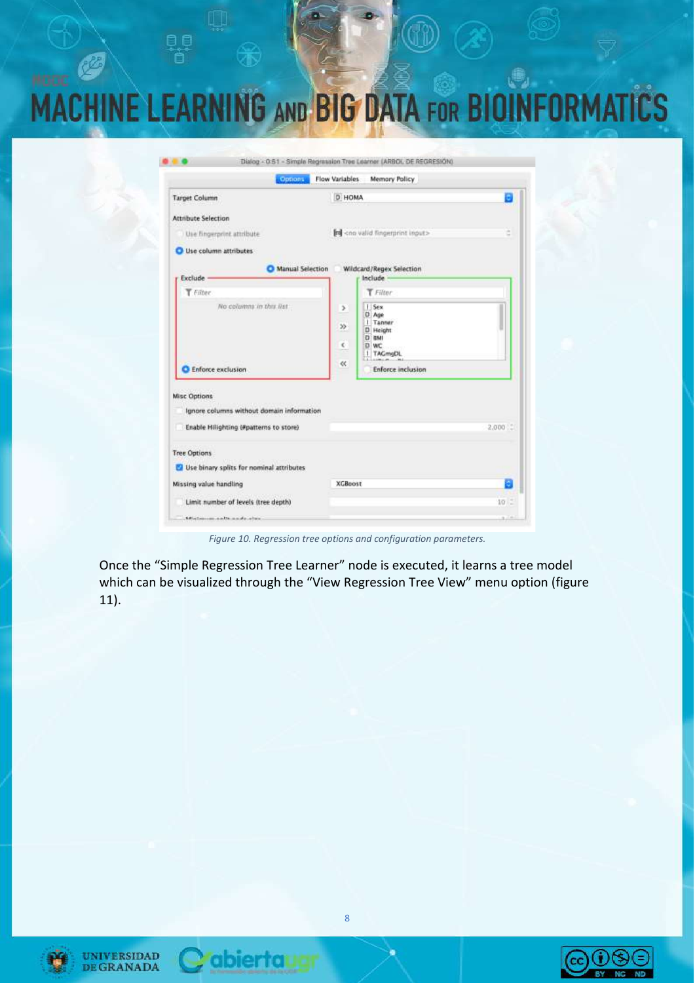| D HOMA<br><b>Target Column</b><br><b>Attribute Selection</b><br>and <no fingerprint="" input="" valid=""><br/>Use fingerprint attribute<br/>Use column attributes<br/>Manual Selection<br/>Wildcard/Regex Selection<br/>Exclude -<br/>Include<br/>T Filter<br/>T Filter<br/>No columns in this list:<br/>I Sex<br/>r<br/>D Age<br/>1 Tanner<br/><math display="inline">\gg</math><br/>D Height<br/>D BMI<br/><math>\epsilon</math><br/>D WC<br/>TAGmgDL<br/><math display="inline">\ll</math><br/><b>Enforce inclusion</b><br/><b>Enforce exclusion</b><br/><b>Misc Options</b><br/>Ignore columns without domain information<br/>Enable Hillighting (#patterns to store)<br/>Tree Options<br/>Use binary splits for nominal attributes<br/><b>XGBoost</b><br/>Missing value handling<br/>Limit number of levels (tree depth)</no> | Options | <b>Flow Variables</b><br><b>Memory Policy</b> |           |
|------------------------------------------------------------------------------------------------------------------------------------------------------------------------------------------------------------------------------------------------------------------------------------------------------------------------------------------------------------------------------------------------------------------------------------------------------------------------------------------------------------------------------------------------------------------------------------------------------------------------------------------------------------------------------------------------------------------------------------------------------------------------------------------------------------------------------------|---------|-----------------------------------------------|-----------|
|                                                                                                                                                                                                                                                                                                                                                                                                                                                                                                                                                                                                                                                                                                                                                                                                                                    |         |                                               |           |
|                                                                                                                                                                                                                                                                                                                                                                                                                                                                                                                                                                                                                                                                                                                                                                                                                                    |         |                                               | d         |
|                                                                                                                                                                                                                                                                                                                                                                                                                                                                                                                                                                                                                                                                                                                                                                                                                                    |         |                                               |           |
|                                                                                                                                                                                                                                                                                                                                                                                                                                                                                                                                                                                                                                                                                                                                                                                                                                    |         |                                               |           |
|                                                                                                                                                                                                                                                                                                                                                                                                                                                                                                                                                                                                                                                                                                                                                                                                                                    |         |                                               |           |
|                                                                                                                                                                                                                                                                                                                                                                                                                                                                                                                                                                                                                                                                                                                                                                                                                                    |         |                                               |           |
|                                                                                                                                                                                                                                                                                                                                                                                                                                                                                                                                                                                                                                                                                                                                                                                                                                    |         |                                               |           |
|                                                                                                                                                                                                                                                                                                                                                                                                                                                                                                                                                                                                                                                                                                                                                                                                                                    |         |                                               | $2.000 -$ |
|                                                                                                                                                                                                                                                                                                                                                                                                                                                                                                                                                                                                                                                                                                                                                                                                                                    |         |                                               |           |
|                                                                                                                                                                                                                                                                                                                                                                                                                                                                                                                                                                                                                                                                                                                                                                                                                                    |         |                                               |           |
|                                                                                                                                                                                                                                                                                                                                                                                                                                                                                                                                                                                                                                                                                                                                                                                                                                    |         |                                               |           |
|                                                                                                                                                                                                                                                                                                                                                                                                                                                                                                                                                                                                                                                                                                                                                                                                                                    |         |                                               | $10 -$    |

*Figure 10. Regression tree options and configuration parameters.*

Once the "Simple Regression Tree Learner" node is executed, it learns a tree model which can be visualized through the "View Regression Tree View" menu option (figure 11).





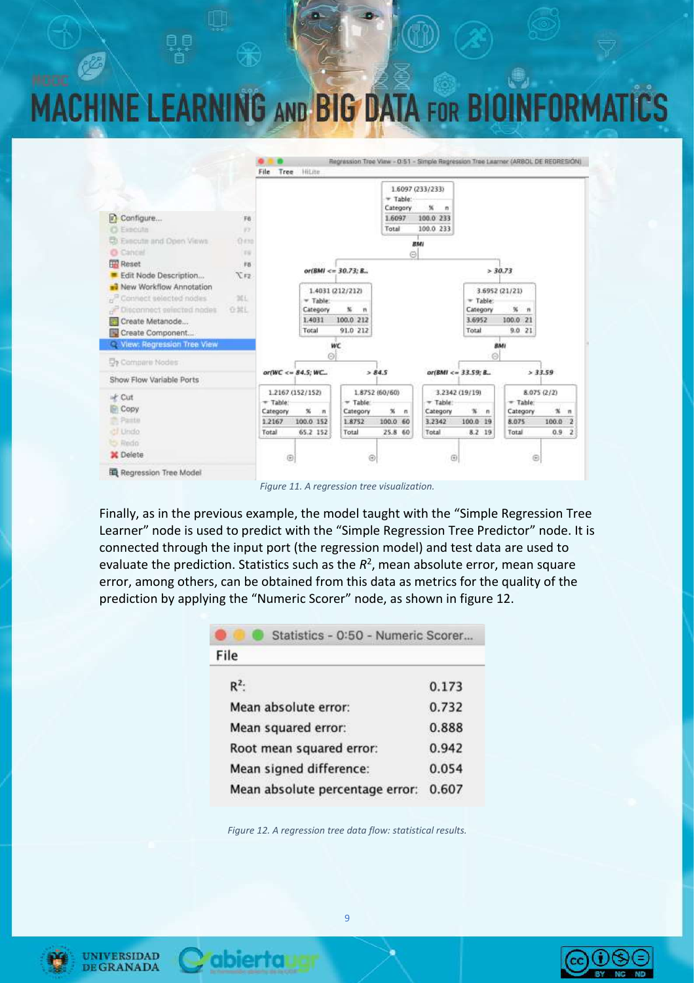### **G AND BIG DATA FOR B INE LEA**



*Figure 11. A regression tree visualization.*

Finally, as in the previous example, the model taught with the "Simple Regression Tree Learner" node is used to predict with the "Simple Regression Tree Predictor" node. It is connected through the input port (the regression model) and test data are used to evaluate the prediction. Statistics such as the  $R^2$ , mean absolute error, mean square error, among others, can be obtained from this data as metrics for the quality of the prediction by applying the "Numeric Scorer" node, as shown in figure 12.

| Statistics - 0:50 - Numeric Scorer |       |
|------------------------------------|-------|
| File                               |       |
| $R^2$ :                            | 0.173 |
| Mean absolute error:               | 0.732 |
| Mean squared error:                | 0.888 |
| Root mean squared error:           | 0.942 |
| Mean signed difference:            | 0.054 |
| Mean absolute percentage error:    | 0.607 |
|                                    |       |

*Figure 12. A regression tree data flow: statistical results.*

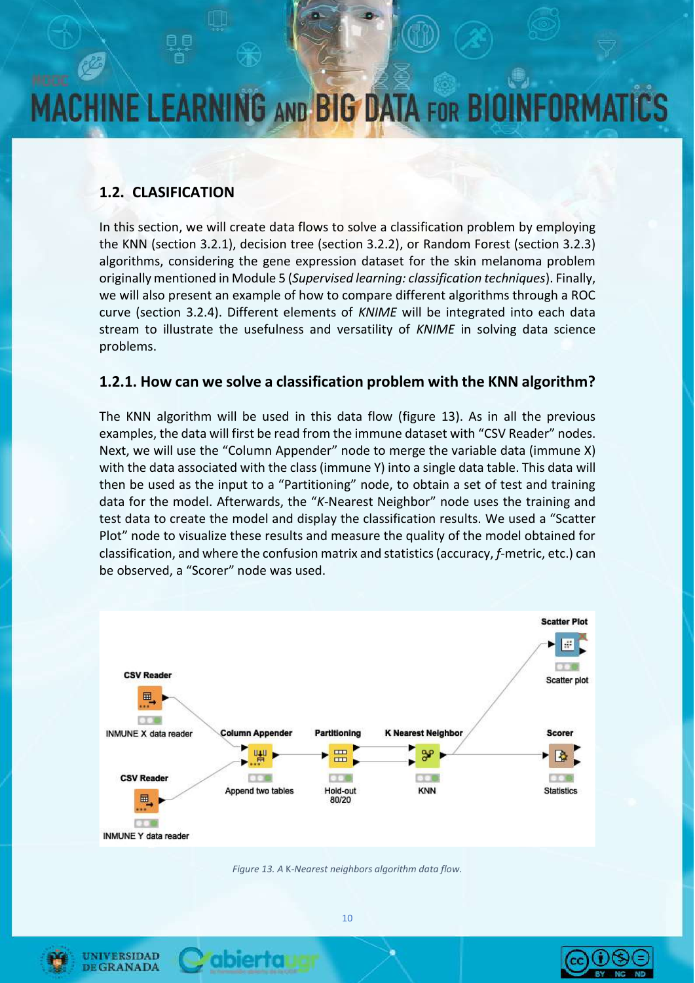### **1.2. CLASIFICATION**

In this section, we will create data flows to solve a classification problem by employing the KNN (section 3.2.1), decision tree (section 3.2.2), or Random Forest (section 3.2.3) algorithms, considering the gene expression dataset for the skin melanoma problem originally mentioned in Module 5 (*Supervised learning: classification techniques*). Finally, we will also present an example of how to compare different algorithms through a ROC curve (section 3.2.4). Different elements of *KNIME* will be integrated into each data stream to illustrate the usefulness and versatility of *KNIME* in solving data science problems.

#### **1.2.1. How can we solve a classification problem with the KNN algorithm?**

The KNN algorithm will be used in this data flow (figure 13). As in all the previous examples, the data will first be read from the immune dataset with "CSV Reader" nodes. Next, we will use the "Column Appender" node to merge the variable data (immune X) with the data associated with the class (immune Y) into a single data table. This data will then be used as the input to a "Partitioning" node, to obtain a set of test and training data for the model. Afterwards, the "*K*-Nearest Neighbor" node uses the training and test data to create the model and display the classification results. We used a "Scatter Plot" node to visualize these results and measure the quality of the model obtained for classification, and where the confusion matrix and statistics (accuracy, *f*-metric, etc.) can be observed, a "Scorer" node was used.



*Figure 13. A* K*-Nearest neighbors algorithm data flow.*



**UNIVERSIDAD** 

**DE GRANADA** 

**ibierfoi**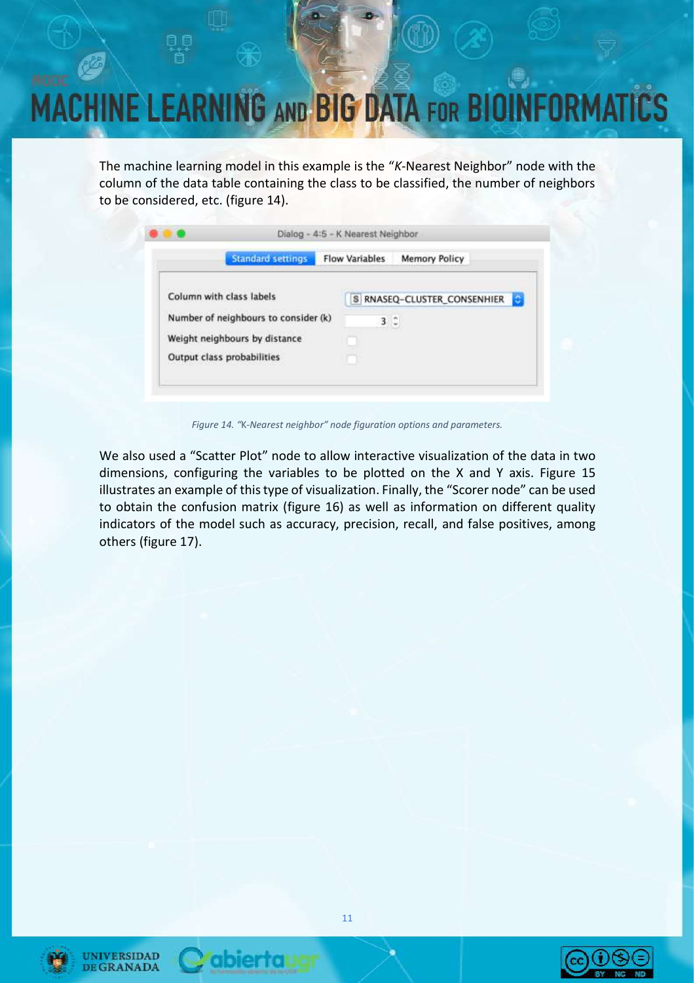The machine learning model in this example is the "*K*-Nearest Neighbor" node with the column of the data table containing the class to be classified, the number of neighbors to be considered, etc. (figure 14).

|                                      | <b>Standard settings</b> | <b>Flow Variables</b> | <b>Memory Policy</b>      |
|--------------------------------------|--------------------------|-----------------------|---------------------------|
| Column with class labels             |                          | S)                    | RNASEQ-CLUSTER_CONSENHIER |
| Number of neighbours to consider (k) |                          | $3^\circ$             |                           |
| Weight neighbours by distance        |                          |                       |                           |
| Output class probabilities           |                          |                       |                           |

*Figure 14. "*K*-Nearest neighbor" node figuration options and parameters.*

We also used a "Scatter Plot" node to allow interactive visualization of the data in two dimensions, configuring the variables to be plotted on the X and Y axis. Figure 15 illustrates an example of this type of visualization. Finally, the "Scorer node" can be used to obtain the confusion matrix (figure 16) as well as information on different quality indicators of the model such as accuracy, precision, recall, and false positives, among others (figure 17).



UNIVERSIDAD **DE GRANADA** 

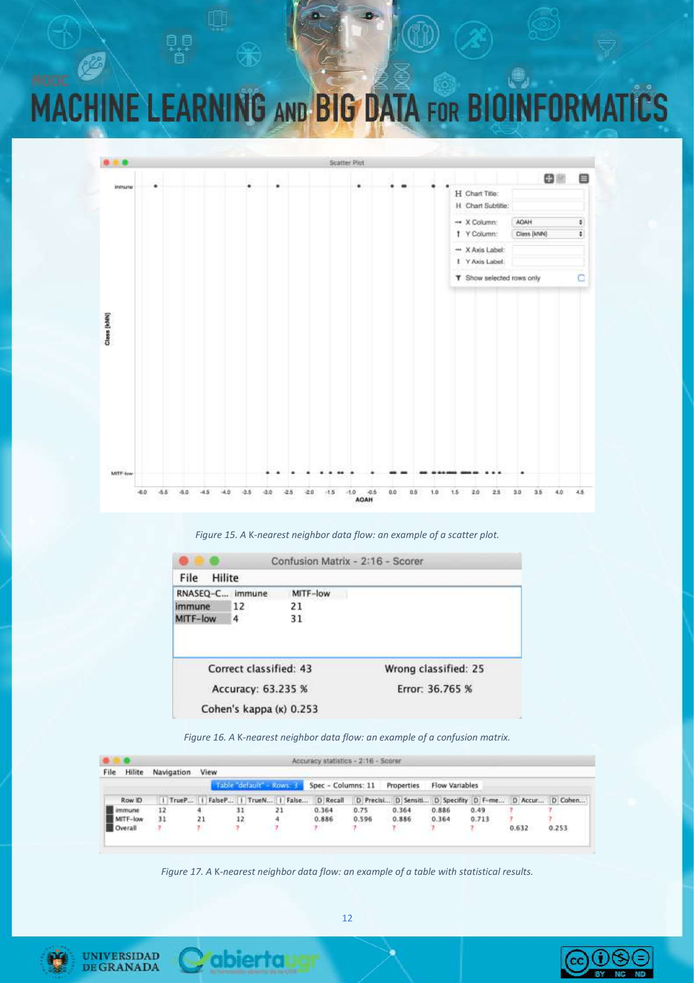

*Figure 15. A* K*-nearest neighbor data flow: an example of a scatter plot.*

|                 |                        | Confusion Matrix - 2:16 - Scorer |                      |
|-----------------|------------------------|----------------------------------|----------------------|
| Hilite<br>File  |                        |                                  |                      |
| RNASEQ-C immune |                        | MITF-low                         |                      |
| <i>immune</i>   | 12                     | 21                               |                      |
| MITF-low        | 4                      | 31                               |                      |
|                 | Correct classified: 43 |                                  | Wrong classified: 25 |
|                 | Accuracy: 63.235 %     |                                  | Error: 36.765 %      |
|                 |                        |                                  |                      |

*Figure 16. A* K*-nearest neighbor data flow: an example of a confusion matrix.*

| File<br>Hilite | Navigation | View  |                 |                        | and the state of the state of the state of the state of the state of the state of the state of the state of the |        |                     |                |                    |       |                 |
|----------------|------------|-------|-----------------|------------------------|-----------------------------------------------------------------------------------------------------------------|--------|---------------------|----------------|--------------------|-------|-----------------|
|                |            |       |                 | Table default - Rows 1 | Spec - Columns: 11                                                                                              |        | Properties          | Flow Variables |                    |       |                 |
| Row ID         |            | TrueP | FabeP     TrueN | False                  | D Recall                                                                                                        |        | D Precist D Sensiti |                | D Specifity D F-me |       | D Accur D Cohen |
| <i>immune</i>  | $-12$      |       | 31              | 21                     | 0.364                                                                                                           | 0.75   | 0.364               | 0.886          | 0.49.              |       |                 |
| MITF-low       | 31         | 21    | $-12$           | 4.                     | 0.886                                                                                                           | 0.596  | 0.886               | 0.364          | 0.713              |       |                 |
| Overall        |            | γ.    | -7              |                        |                                                                                                                 | voorn. |                     | Maria Ma       |                    | 0.632 | 0.253           |

*Figure 17. A* K*-nearest neighbor data flow: an example of a table with statistical results.*



**UNIVERSIDAD DEGRANADA** 

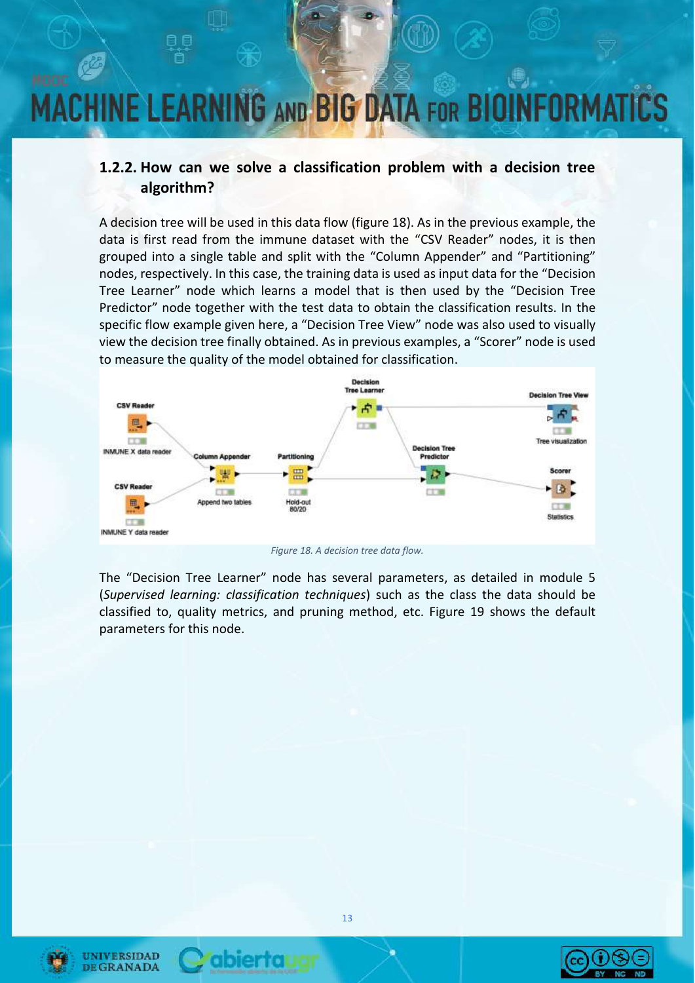#### **1.2.2. How can we solve a classification problem with a decision tree algorithm?**

A decision tree will be used in this data flow (figure 18). As in the previous example, the data is first read from the immune dataset with the "CSV Reader" nodes, it is then grouped into a single table and split with the "Column Appender" and "Partitioning" nodes, respectively. In this case, the training data is used as input data for the "Decision Tree Learner" node which learns a model that is then used by the "Decision Tree Predictor" node together with the test data to obtain the classification results. In the specific flow example given here, a "Decision Tree View" node was also used to visually view the decision tree finally obtained. As in previous examples, a "Scorer" node is used to measure the quality of the model obtained for classification.



*Figure 18. A decision tree data flow.*

The "Decision Tree Learner" node has several parameters, as detailed in module 5 (*Supervised learning: classification techniques*) such as the class the data should be classified to, quality metrics, and pruning method, etc. Figure 19 shows the default parameters for this node.



**UNIVERSIDAD** 

**DE GRANADA** 



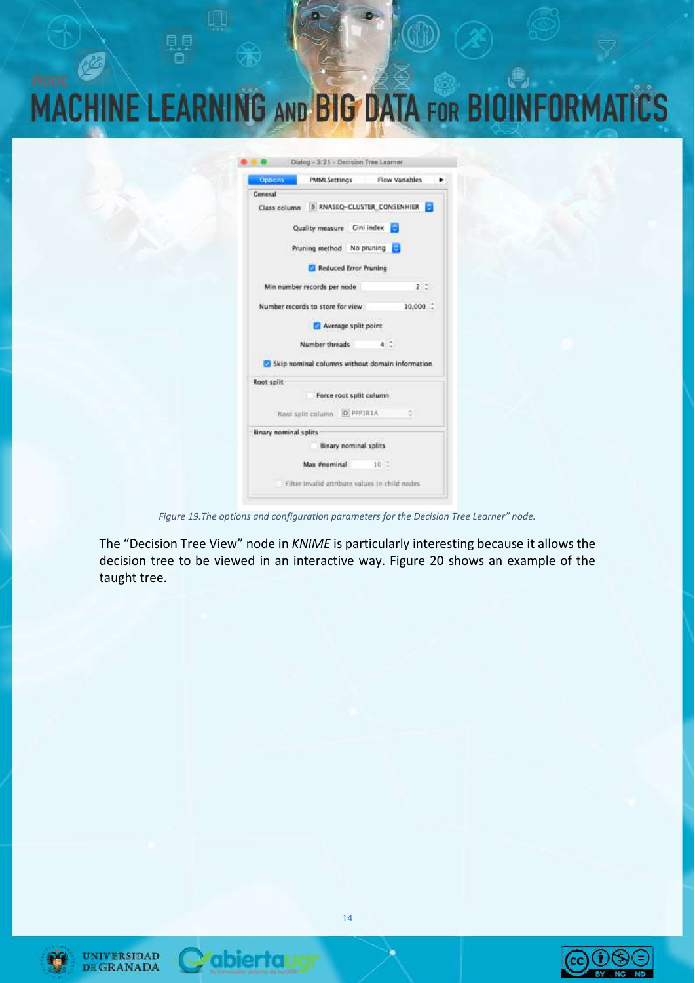| <b>MACHINE LEARNING AND BIG DATA FOR BIOINFORMATICS</b> |  |  |  |  |
|---------------------------------------------------------|--|--|--|--|
|                                                         |  |  |  |  |

| Options:              | <b>PMMLSettings</b>                             | Flow Variables |             |
|-----------------------|-------------------------------------------------|----------------|-------------|
| General               |                                                 |                |             |
|                       | Class column 5 RNASEQ-CLUSTER CONSENHIER        |                |             |
|                       | Quality measure Gini index                      | Θ              |             |
|                       | Pruning method No pruning                       |                |             |
|                       | Reduced Error Pruning                           |                |             |
|                       | Min number records per node                     |                | $2^{\circ}$ |
|                       | Number records to store for view                |                | 10,000      |
|                       | Average split point                             |                |             |
|                       |                                                 |                |             |
|                       | Number threads                                  | 4.2.           |             |
|                       | Skip nominal columns without domain information |                |             |
| Root split            |                                                 |                |             |
|                       | Force root split column                         |                |             |
|                       | Root split column D PPPIRIA                     |                |             |
| Binary nominal splits |                                                 |                |             |
|                       | Binary nominal splits                           |                |             |
|                       | Max #nominal                                    | 10.7           |             |

*Figure 19.The options and configuration parameters for the Decision Tree Learner" node.*

The "Decision Tree View" node in *KNIME* is particularly interesting because it allows the decision tree to be viewed in an interactive way. Figure 20 shows an example of the taught tree.



UNIVERSIDAD<br>DE GRANADA



*<u>rabiertaugr</u>* 

 $\bigcirc\hspace{-0.5mm}\bigcirc\hspace{-0.5mm} \bigcirc\hspace{-0.5mm}\bigcirc\hspace{-0.5mm} \bigcirc$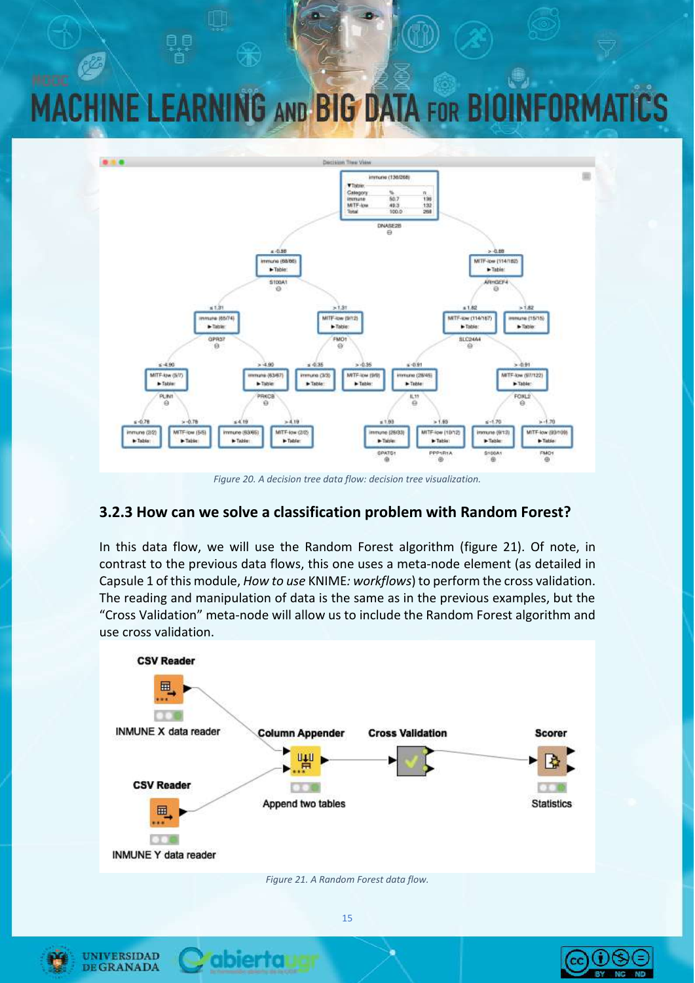

*Figure 20. A decision tree data flow: decision tree visualization.*

#### **3.2.3 How can we solve a classification problem with Random Forest?**

In this data flow, we will use the Random Forest algorithm (figure 21). Of note, in contrast to the previous data flows, this one uses a meta-node element (as detailed in Capsule 1 of this module, *How to use* KNIME*: workflows*) to perform the cross validation. The reading and manipulation of data is the same as in the previous examples, but the "Cross Validation" meta-node will allow us to include the Random Forest algorithm and use cross validation.



*Figure 21. A Random Forest data flow.*



**UNIVERSIDAD DE GRANADA** 

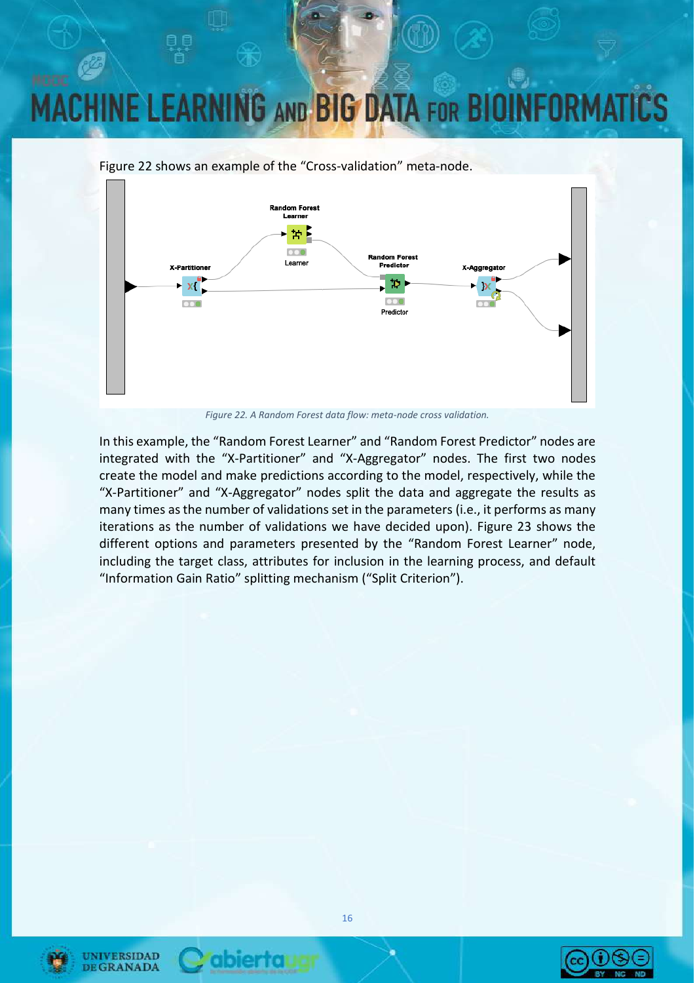Figure 22 shows an example of the "Cross-validation" meta-node.



*Figure 22. A Random Forest data flow: meta-node cross validation.*

In this example, the "Random Forest Learner" and "Random Forest Predictor" nodes are integrated with the "X-Partitioner" and "X-Aggregator" nodes. The first two nodes create the model and make predictions according to the model, respectively, while the "X-Partitioner" and "X-Aggregator" nodes split the data and aggregate the results as many times as the number of validations set in the parameters (i.e., it performs as many iterations as the number of validations we have decided upon). Figure 23 shows the different options and parameters presented by the "Random Forest Learner" node, including the target class, attributes for inclusion in the learning process, and default "Information Gain Ratio" splitting mechanism ("Split Criterion").



**UNIVERSIDAD** 

**DE GRANADA** 

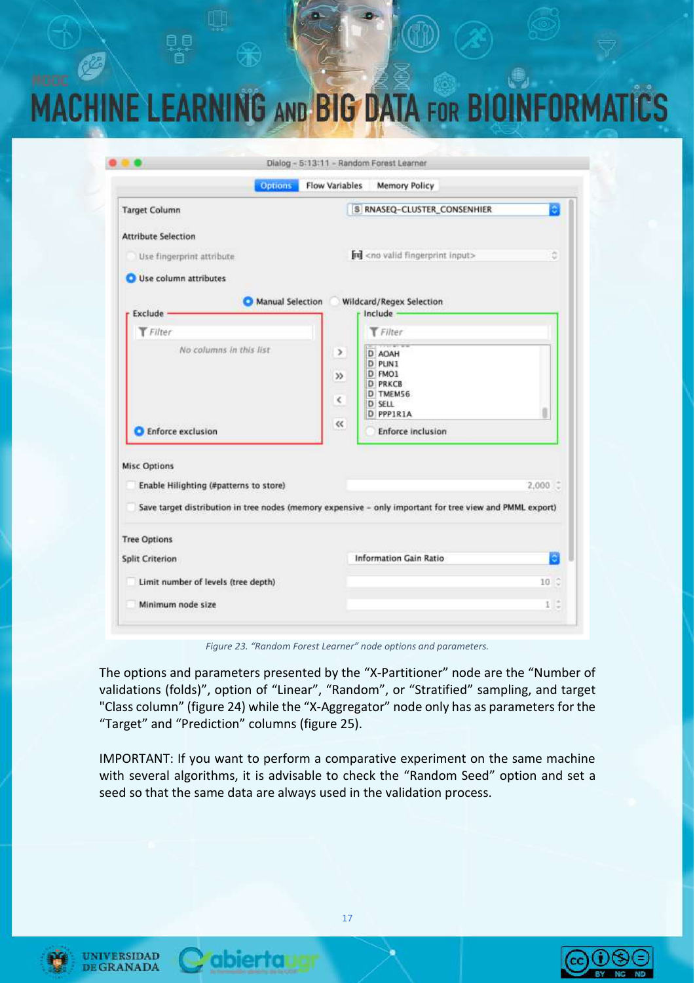| <b>Options</b>                         | <b>Flow Variables</b><br><b>Memory Policy</b>                                                            |                   |
|----------------------------------------|----------------------------------------------------------------------------------------------------------|-------------------|
| <b>Target Column</b>                   | 8 RNASEQ-CLUSTER_CONSENHIER                                                                              |                   |
| <b>Attribute Selection</b>             |                                                                                                          |                   |
| Use fingerprint attribute              | <b>nd</b> <no fingerprint="" input="" valid=""></no>                                                     | ٥                 |
| Use column attributes                  |                                                                                                          |                   |
| Manual Selection                       | Wildcard/Regex Selection                                                                                 |                   |
| Exclude -                              | Include                                                                                                  |                   |
| <b>T</b> Filter                        | Filter                                                                                                   |                   |
| No columns in this list.               | э.<br>D AOAH                                                                                             |                   |
|                                        | D PLIN1                                                                                                  |                   |
|                                        | D FMO1<br>$\gg$<br><b>D PRKCB</b>                                                                        |                   |
|                                        | D TMEM56                                                                                                 |                   |
|                                        | $\epsilon$<br><b>D</b> SELL<br>D PPPIRIA                                                                 |                   |
| <b>Enforce exclusion</b>               | $\ll$<br><b>Enforce inclusion</b>                                                                        |                   |
| <b>Misc Options</b>                    |                                                                                                          |                   |
| Enable Hilighting (#patterns to store) |                                                                                                          | $2,000$ $\degree$ |
|                                        | Save target distribution in tree nodes (memory expensive - only important for tree view and PMML export) |                   |
| <b>Tree Options</b>                    |                                                                                                          |                   |
| Split Criterion                        | <b>Information Gain Ratio</b>                                                                            |                   |
| Limit number of levels (tree depth)    |                                                                                                          | $10^\circ$        |
| Minimum node size                      |                                                                                                          | 1:                |

*Figure 23. "Random Forest Learner" node options and parameters.*

The options and parameters presented by the "X-Partitioner" node are the "Number of validations (folds)", option of "Linear", "Random", or "Stratified" sampling, and target "Class column" (figure 24) while the "X-Aggregator" node only has as parameters for the "Target" and "Prediction" columns (figure 25).

IMPORTANT: If you want to perform a comparative experiment on the same machine with several algorithms, it is advisable to check the "Random Seed" option and set a seed so that the same data are always used in the validation process.







abiertal

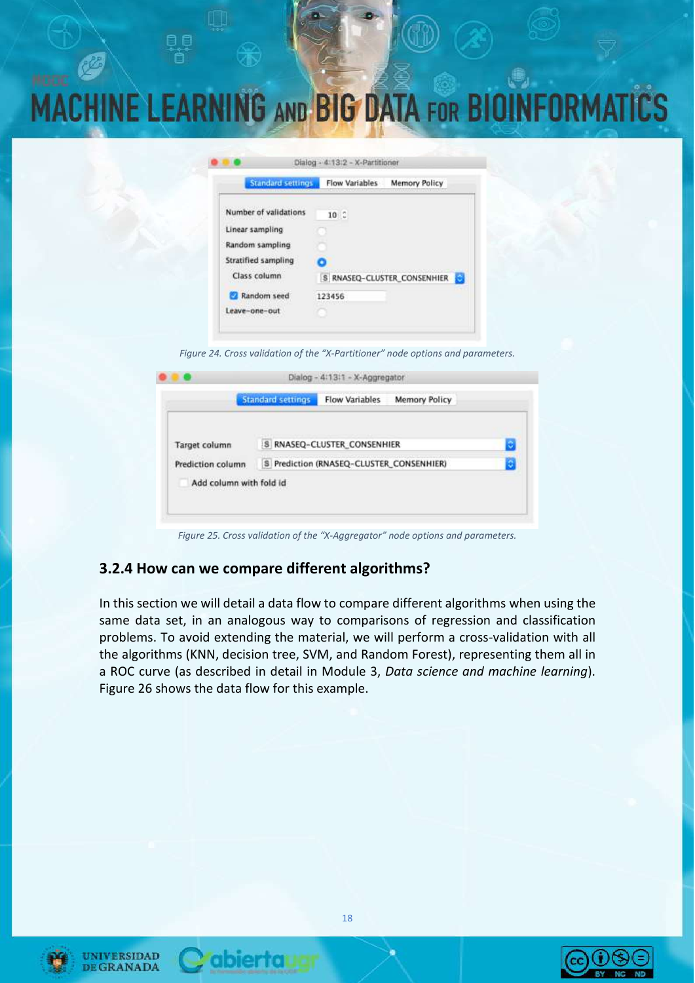| Standard settings          | <b>Flow Variables</b> | <b>Memory Policy</b>                                                                    |
|----------------------------|-----------------------|-----------------------------------------------------------------------------------------|
| Number of validations      | $10^\circ$            |                                                                                         |
| Linear sampling            |                       |                                                                                         |
| Random sampling            |                       |                                                                                         |
| <b>Stratified sampling</b> |                       |                                                                                         |
| Class column               |                       | the complete the problem of the complete problem and the<br>S RNASEQ-CLUSTER_CONSENHIER |
| Random seed                | 123456                |                                                                                         |
| Leave-one-out              |                       |                                                                                         |

*Figure 24. Cross validation of the "X-Partitioner" node options and parameters.*

|                         | <b>Standard settings</b> | <b>Flow Variables</b>                    | <b>Memory Policy</b> |  |
|-------------------------|--------------------------|------------------------------------------|----------------------|--|
|                         |                          |                                          |                      |  |
| Target column           |                          | S RNASEQ-CLUSTER_CONSENHIER              |                      |  |
| Prediction column       |                          | S Prediction (RNASEQ-CLUSTER_CONSENHIER) |                      |  |
| Add column with fold id |                          |                                          |                      |  |

*Figure 25. Cross validation of the "X-Aggregator" node options and parameters.*

#### **3.2.4 How can we compare different algorithms?**

abierral

In this section we will detail a data flow to compare different algorithms when using the same data set, in an analogous way to comparisons of regression and classification problems. To avoid extending the material, we will perform a cross-validation with all the algorithms (KNN, decision tree, SVM, and Random Forest), representing them all in a ROC curve (as described in detail in Module 3, *Data science and machine learning*). Figure 26 shows the data flow for this example.



UNIVERSIDAD

**GRANADA** 

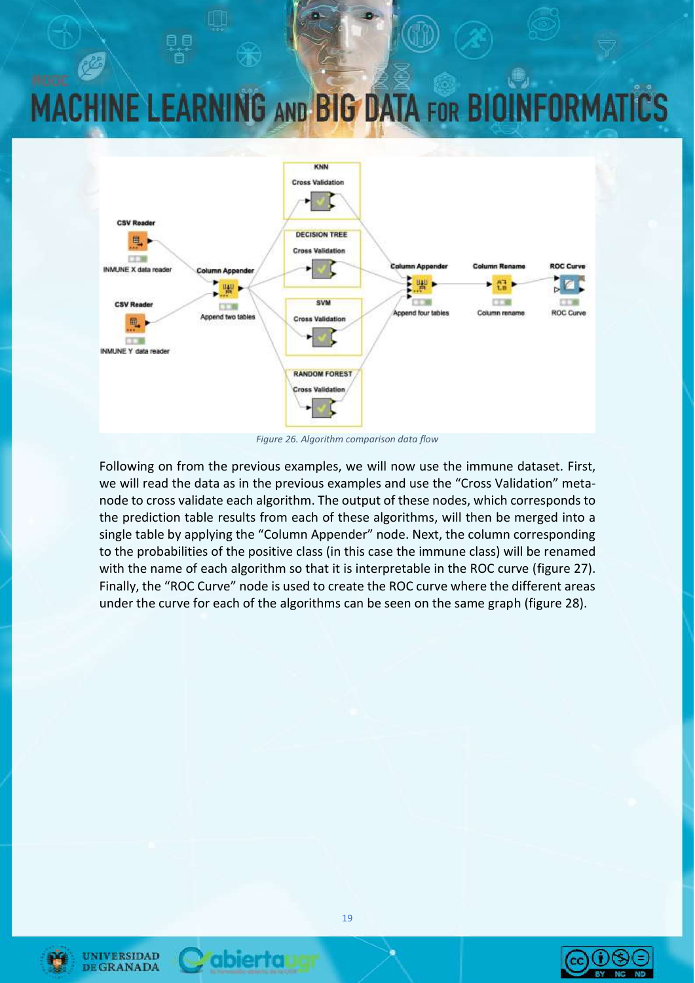

*Figure 26. Algorithm comparison data flow*

Following on from the previous examples, we will now use the immune dataset. First, we will read the data as in the previous examples and use the "Cross Validation" metanode to cross validate each algorithm. The output of these nodes, which corresponds to the prediction table results from each of these algorithms, will then be merged into a single table by applying the "Column Appender" node. Next, the column corresponding to the probabilities of the positive class (in this case the immune class) will be renamed with the name of each algorithm so that it is interpretable in the ROC curve (figure 27). Finally, the "ROC Curve" node is used to create the ROC curve where the different areas under the curve for each of the algorithms can be seen on the same graph (figure 28).



**UNIVERSIDAD DE GRANADA** 



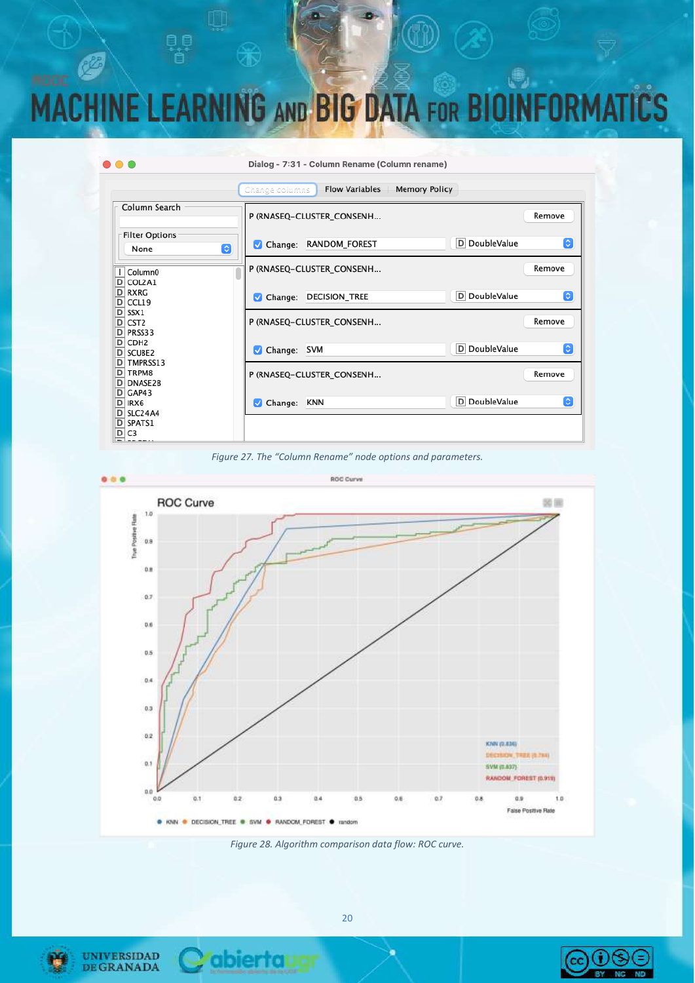### **IG AND BIG DATA FOR BIOINFORMA MACHINE LEARNIN**









*Figure 28. Algorithm comparison data flow: ROC curve.*



**UNIVERSIDAD DEGRANADA** 

**PE** 

 $\bullet$   $\bullet$   $\bullet$